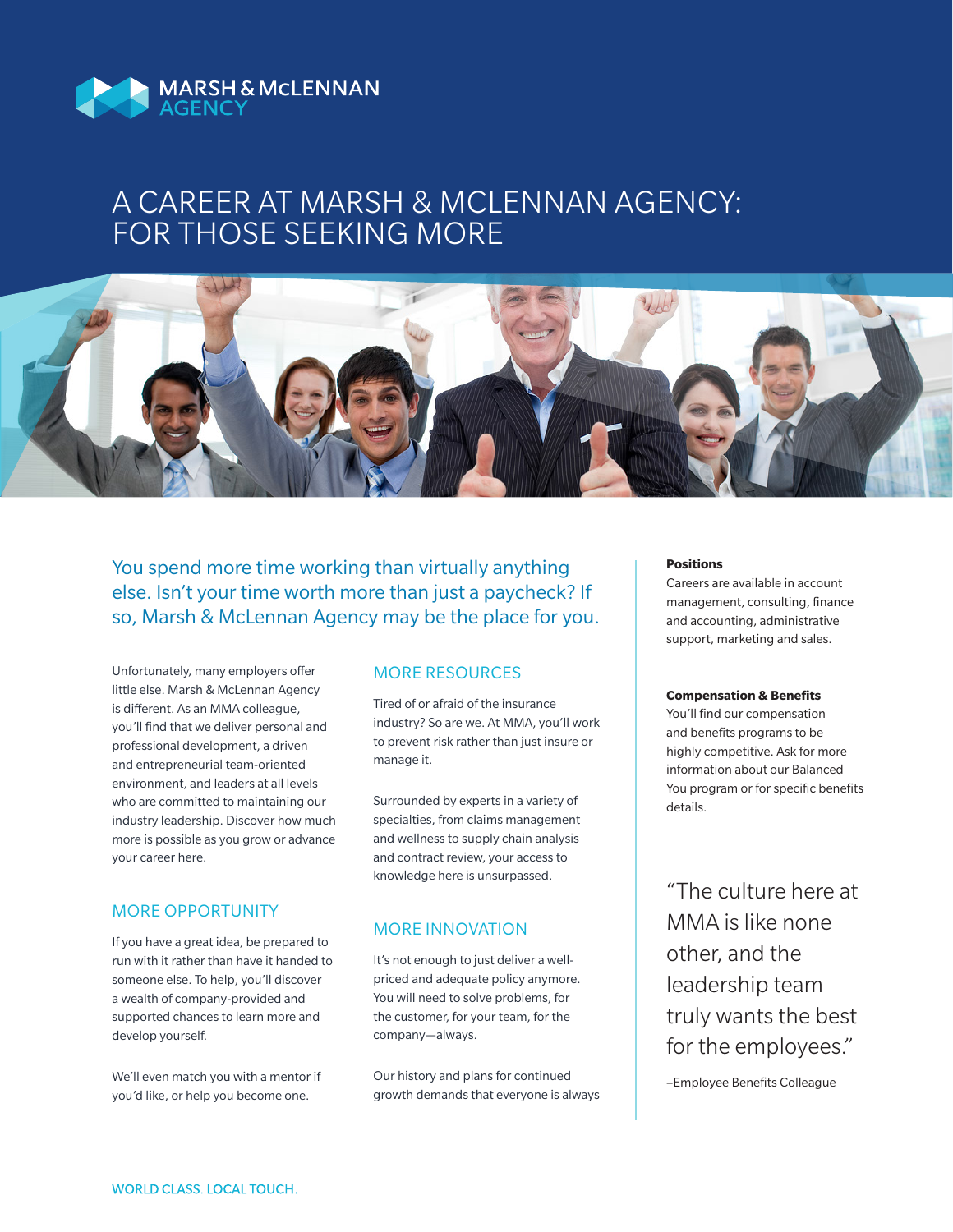

### A CAREER AT MARSH & MCLENNAN AGENCY: FOR THOSE SEEKING MORE



You spend more time working than virtually anything else. Isn't your time worth more than just a paycheck? If so, Marsh & McLennan Agency may be the place for you.

Unfortunately, many employers offer little else. Marsh & McLennan Agency is different. As an MMA colleague, you'll find that we deliver personal and professional development, a driven and entrepreneurial team-oriented environment, and leaders at all levels who are committed to maintaining our industry leadership. Discover how much more is possible as you grow or advance your career here.

### MORE OPPORTUNITY

If you have a great idea, be prepared to run with it rather than have it handed to someone else. To help, you'll discover a wealth of company-provided and supported chances to learn more and develop yourself.

We'll even match you with a mentor if you'd like, or help you become one.

#### MORE RESOURCES

Tired of or afraid of the insurance industry? So are we. At MMA, you'll work to prevent risk rather than just insure or manage it.

Surrounded by experts in a variety of specialties, from claims management and wellness to supply chain analysis and contract review, your access to knowledge here is unsurpassed.

#### MORE INNOVATION

It's not enough to just deliver a wellpriced and adequate policy anymore. You will need to solve problems, for the customer, for your team, for the company—always.

Our history and plans for continued growth demands that everyone is always

#### **Positions**

Careers are available in account management, consulting, finance and accounting, administrative support, marketing and sales.

#### **Compensation & Benefits**

You'll find our compensation and benefits programs to be highly competitive. Ask for more information about our Balanced You program or for specific benefits details.

"The culture here at MMA is like none other, and the leadership team truly wants the best for the employees."

–Employee Benefits Colleague